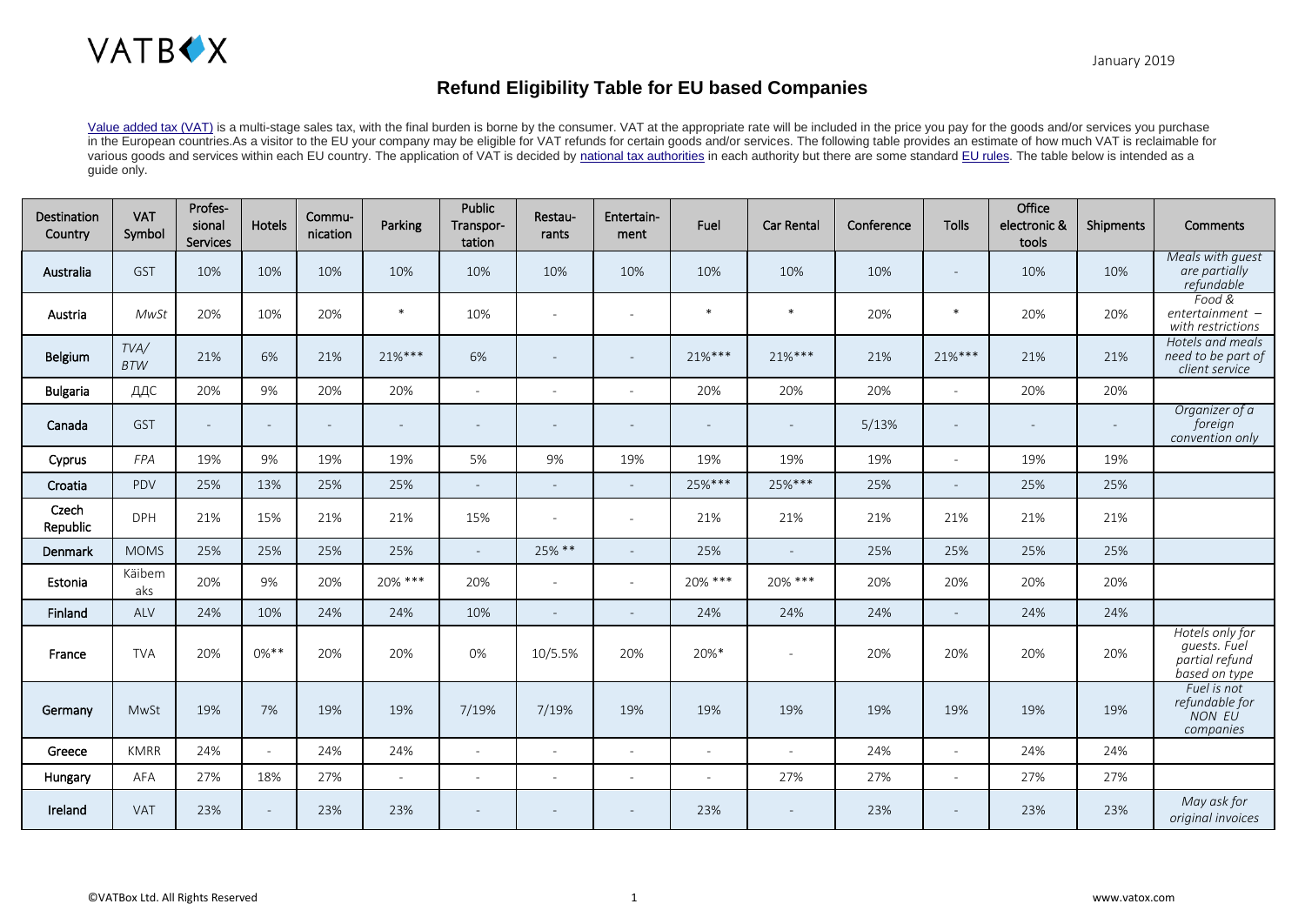

## **Refund Eligibility Table for EU based Companies**

[Value added tax \(VAT\)](https://en.wikipedia.org/wiki/Value-added_tax) is a multi-stage sales tax, with the final burden is borne by the consumer. VAT at the appropriate rate will be included in the price you pay for the goods and/or services you purchase in the European countries.As a visitor to the EU your company may be eligible for VAT refunds for certain goods and/or services. The following table provides an estimate of how much VAT is reclaimable for various goods and services within each EU country. The application of VAT is decided by [national tax authorities](https://ec.europa.eu/taxation_customs/national-tax-websites_en) in each authority but there are some standard [EU rules.](https://ec.europa.eu/taxation_customs/business/vat/eu-country-specific-information-vat_en) The table below is intended as a guide only.

| Destination<br>Country | <b>VAT</b><br>Symbol | Profes-<br>sional<br>Services | Hotels         | Commu-<br>nication       | Parking   | Public<br>Transpor-<br>tation | Restau-<br>rants         | Entertain-<br>ment       | Fuel                     | <b>Car Rental</b>        | Conference | <b>Tolls</b>             | Office<br>electronic &<br>tools | Shipments                | <b>Comments</b>                                                    |
|------------------------|----------------------|-------------------------------|----------------|--------------------------|-----------|-------------------------------|--------------------------|--------------------------|--------------------------|--------------------------|------------|--------------------------|---------------------------------|--------------------------|--------------------------------------------------------------------|
| Australia              | <b>GST</b>           | 10%                           | 10%            | 10%                      | 10%       | 10%                           | 10%                      | 10%                      | 10%                      | 10%                      | 10%        | $\overline{\phantom{a}}$ | 10%                             | 10%                      | Meals with guest<br>are partially<br>refundable                    |
| Austria                | MwSt                 | 20%                           | 10%            | 20%                      | $\ast$    | 10%                           | $\overline{\phantom{a}}$ | $\overline{\phantom{a}}$ | $\ast$                   | $*$                      | 20%        | $\ast$                   | 20%                             | 20%                      | Food &<br>$entertaimment -$<br>with restrictions                   |
| Belgium                | TVA/<br><b>BTW</b>   | 21%                           | 6%             | 21%                      | $21\%***$ | 6%                            | $\overline{\phantom{a}}$ |                          | $21\%***$                | $21%***$                 | 21%        | $21\%***$                | 21%                             | 21%                      | Hotels and meals<br>need to be part of<br>client service           |
| <b>Bulgaria</b>        | ДДС                  | 20%                           | 9%             | 20%                      | 20%       | $\sim$                        | $\overline{\phantom{a}}$ | $\sim$                   | 20%                      | 20%                      | 20%        | $\sim$                   | 20%                             | 20%                      |                                                                    |
| Canada                 | GST                  |                               | $\overline{a}$ | $\overline{\phantom{a}}$ |           | $\overline{\phantom{0}}$      | $\overline{\phantom{a}}$ |                          | $\overline{\phantom{a}}$ |                          | 5/13%      | $\overline{\phantom{a}}$ |                                 | $\overline{\phantom{a}}$ | Organizer of a<br>foreign<br>convention only                       |
| Cyprus                 | <b>FPA</b>           | 19%                           | 9%             | 19%                      | 19%       | 5%                            | 9%                       | 19%                      | 19%                      | 19%                      | 19%        | $\overline{\phantom{a}}$ | 19%                             | 19%                      |                                                                    |
| Croatia                | PDV                  | 25%                           | 13%            | 25%                      | 25%       | $\sim$                        | $\overline{\phantom{a}}$ | $\sim$                   | 25%***                   | 25%***                   | 25%        | $\sim$                   | 25%                             | 25%                      |                                                                    |
| Czech<br>Republic      | <b>DPH</b>           | 21%                           | 15%            | 21%                      | 21%       | 15%                           | $\overline{\phantom{a}}$ | $\sim$                   | 21%                      | 21%                      | 21%        | 21%                      | 21%                             | 21%                      |                                                                    |
| Denmark                | <b>MOMS</b>          | 25%                           | 25%            | 25%                      | 25%       | $\mathbf{r}$                  | 25% **                   |                          | 25%                      | $\sim$                   | 25%        | 25%                      | 25%                             | 25%                      |                                                                    |
| Estonia                | Käibem<br>aks        | 20%                           | 9%             | 20%                      | 20% ***   | 20%                           | $\sim$                   | $\sim$                   | 20% ***                  | 20% ***                  | 20%        | 20%                      | 20%                             | 20%                      |                                                                    |
| Finland                | ALV                  | 24%                           | 10%            | 24%                      | 24%       | 10%                           | $\sim$                   |                          | 24%                      | 24%                      | 24%        | $\sim$                   | 24%                             | 24%                      |                                                                    |
| France                 | <b>TVA</b>           | 20%                           | $0\%**$        | 20%                      | 20%       | 0%                            | 10/5.5%                  | 20%                      | $20\%$ *                 |                          | 20%        | 20%                      | 20%                             | 20%                      | Hotels only for<br>quests. Fuel<br>partial refund<br>based on type |
| Germany                | MwSt                 | 19%                           | 7%             | 19%                      | 19%       | 7/19%                         | 7/19%                    | 19%                      | 19%                      | 19%                      | 19%        | 19%                      | 19%                             | 19%                      | Fuel is not<br>refundable for<br>NON EU<br>companies               |
| Greece                 | <b>KMRR</b>          | 24%                           | $\sim$         | 24%                      | 24%       | $\sim$                        | $\overline{\phantom{a}}$ | $\overline{\phantom{a}}$ | $\sim$                   | $\overline{\phantom{a}}$ | 24%        | $\overline{\phantom{a}}$ | 24%                             | 24%                      |                                                                    |
| Hungary                | AFA                  | 27%                           | 18%            | 27%                      | $\sim$    | $\sim$                        | $\overline{\phantom{a}}$ | $\sim$                   | $\overline{\phantom{a}}$ | 27%                      | 27%        | $\sim$                   | 27%                             | 27%                      |                                                                    |
| Ireland                | <b>VAT</b>           | 23%                           | $\sim$         | 23%                      | 23%       |                               |                          |                          | 23%                      |                          | 23%        | $\overline{\phantom{a}}$ | 23%                             | 23%                      | May ask for<br>original invoices                                   |